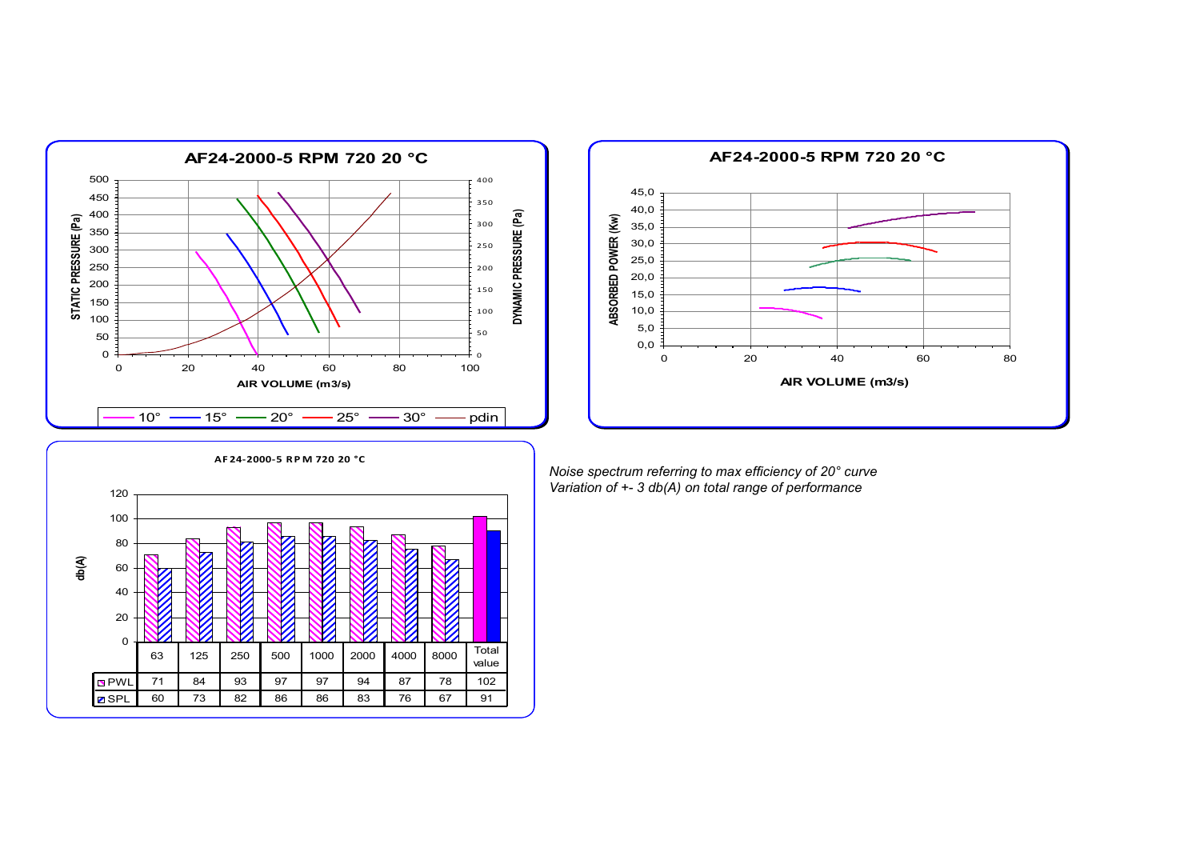



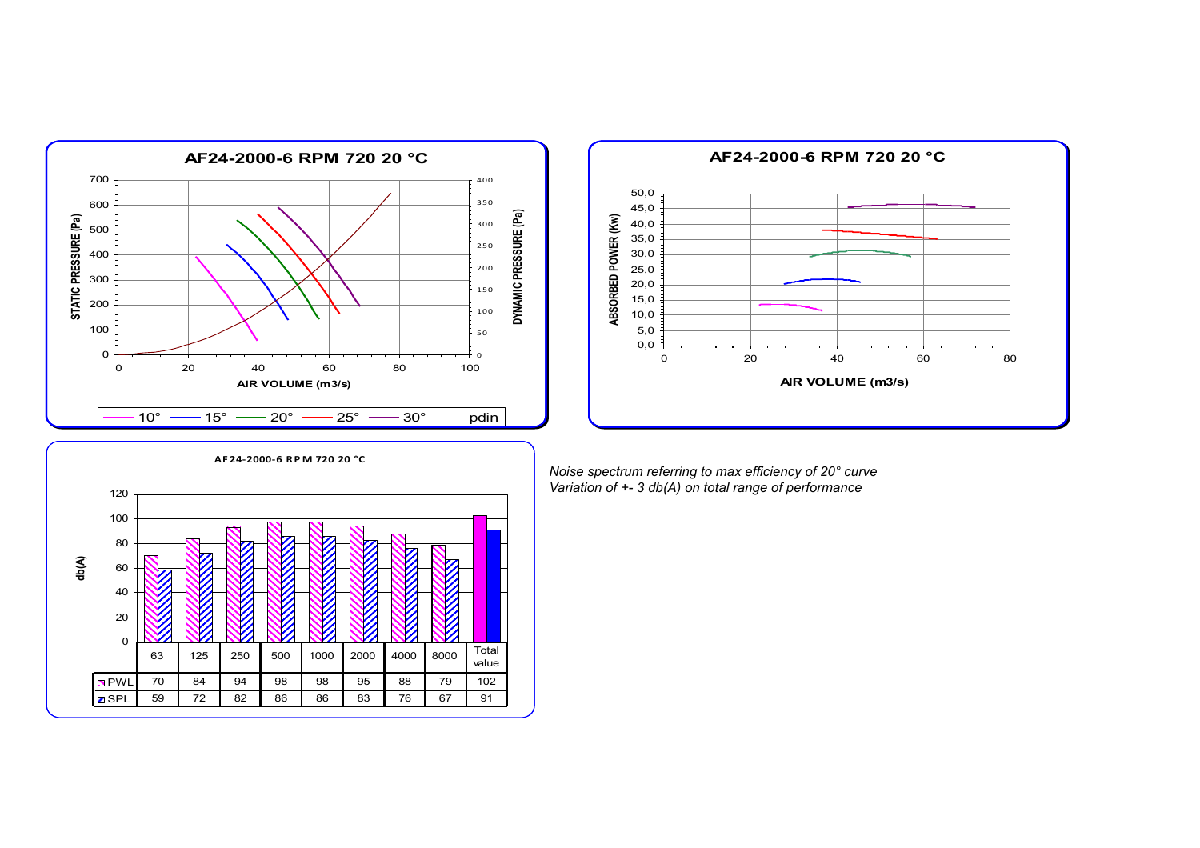



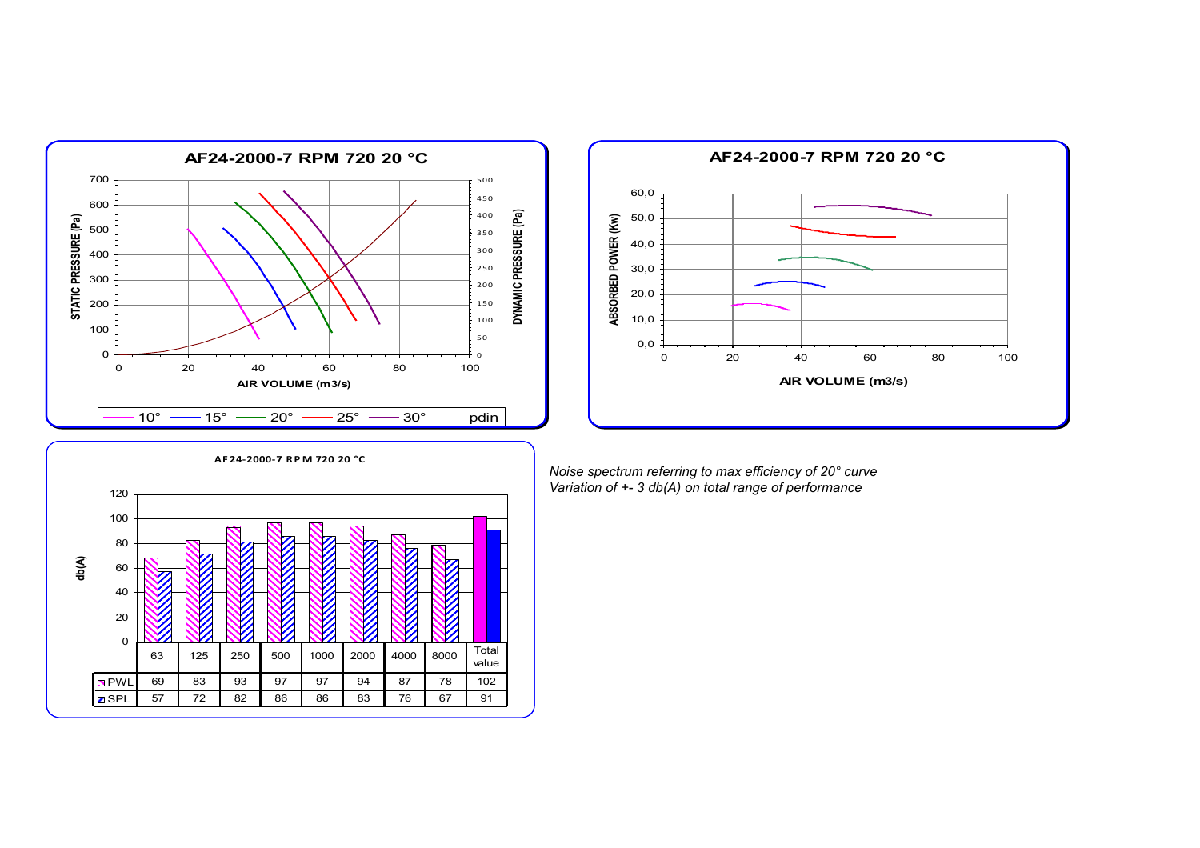



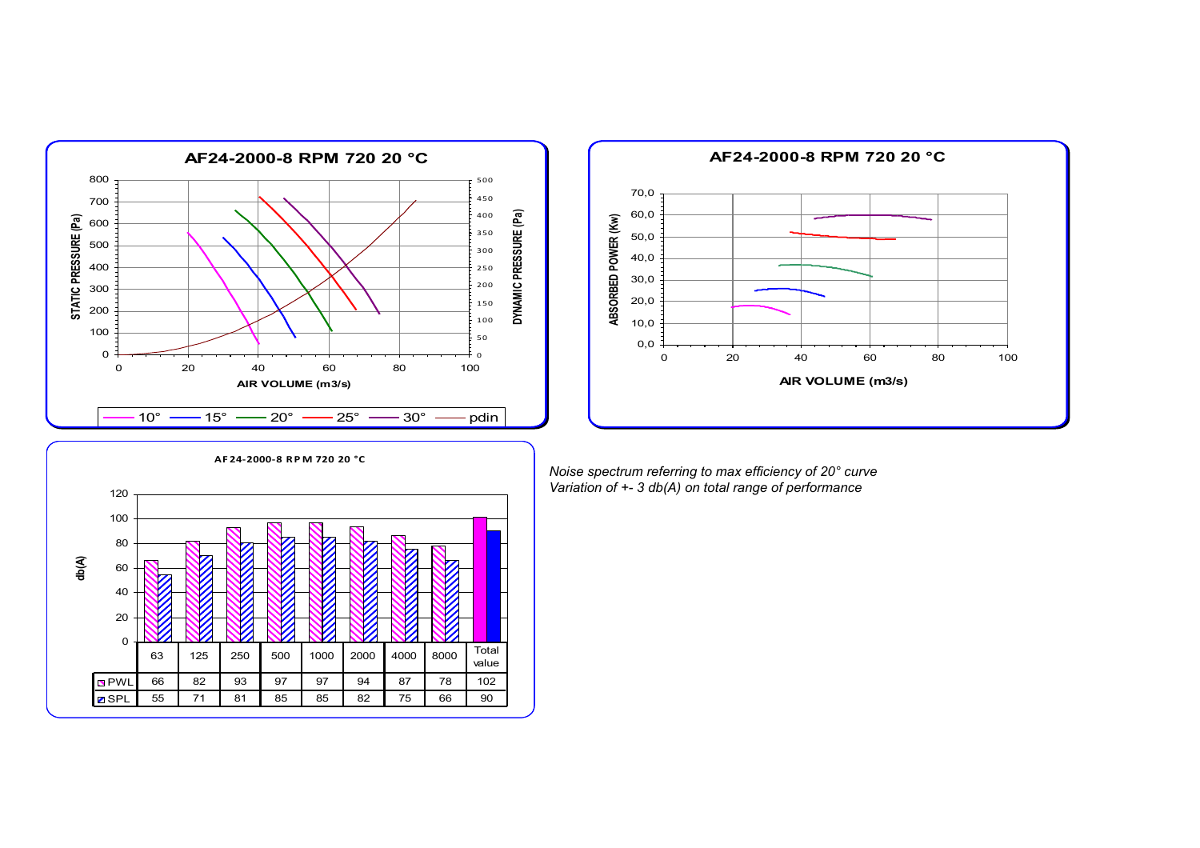



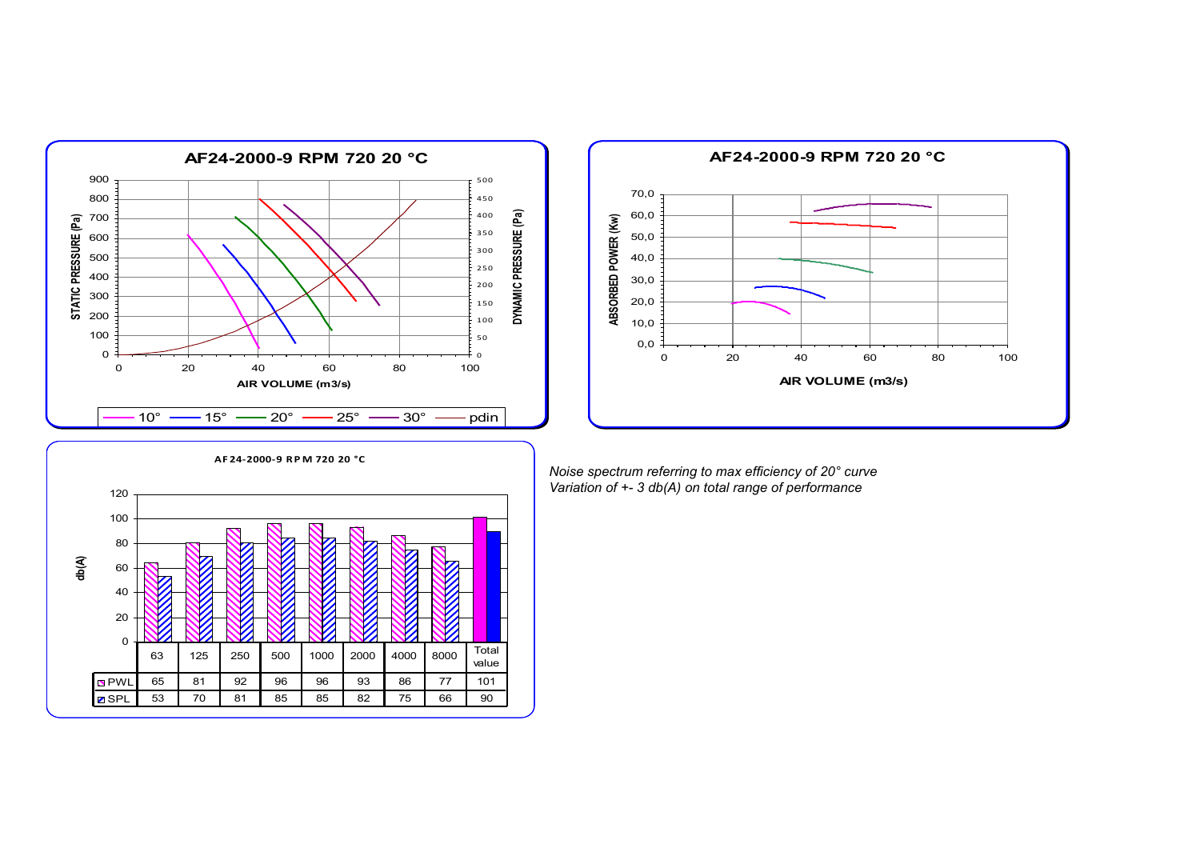



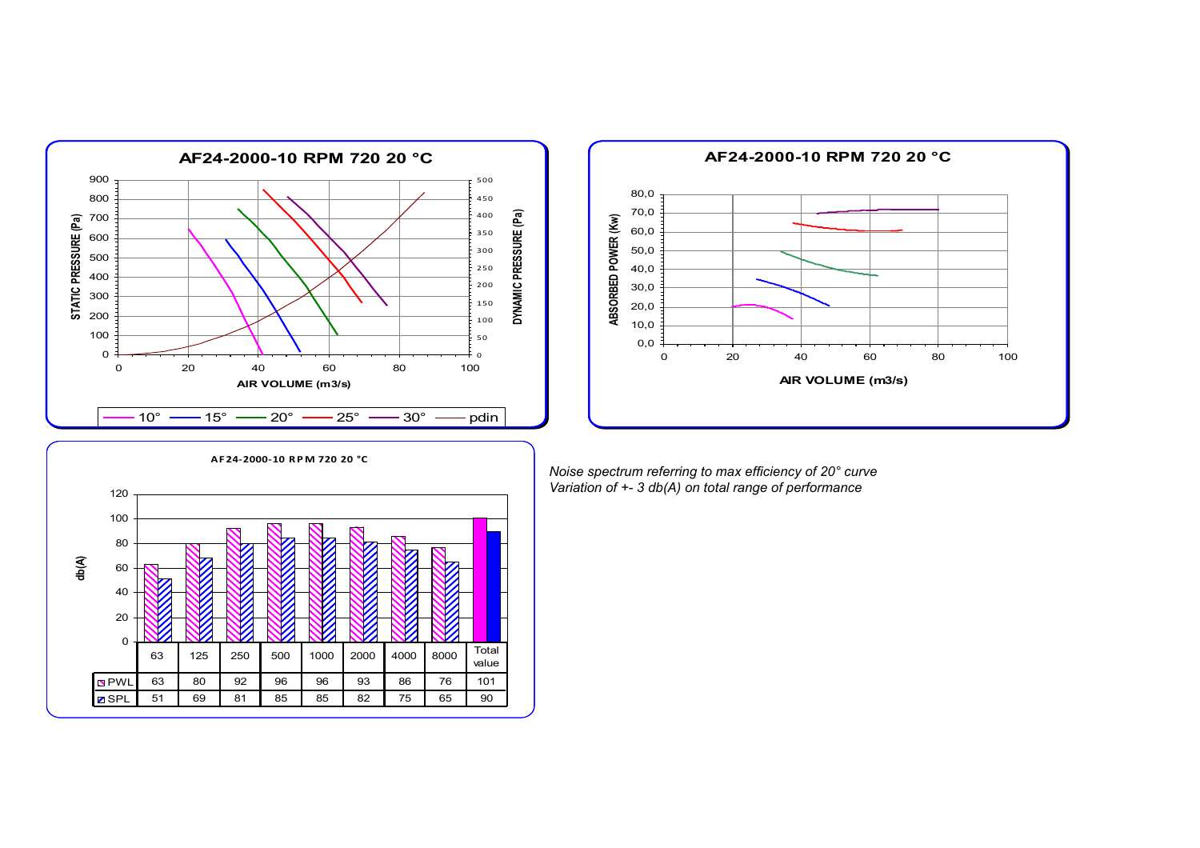



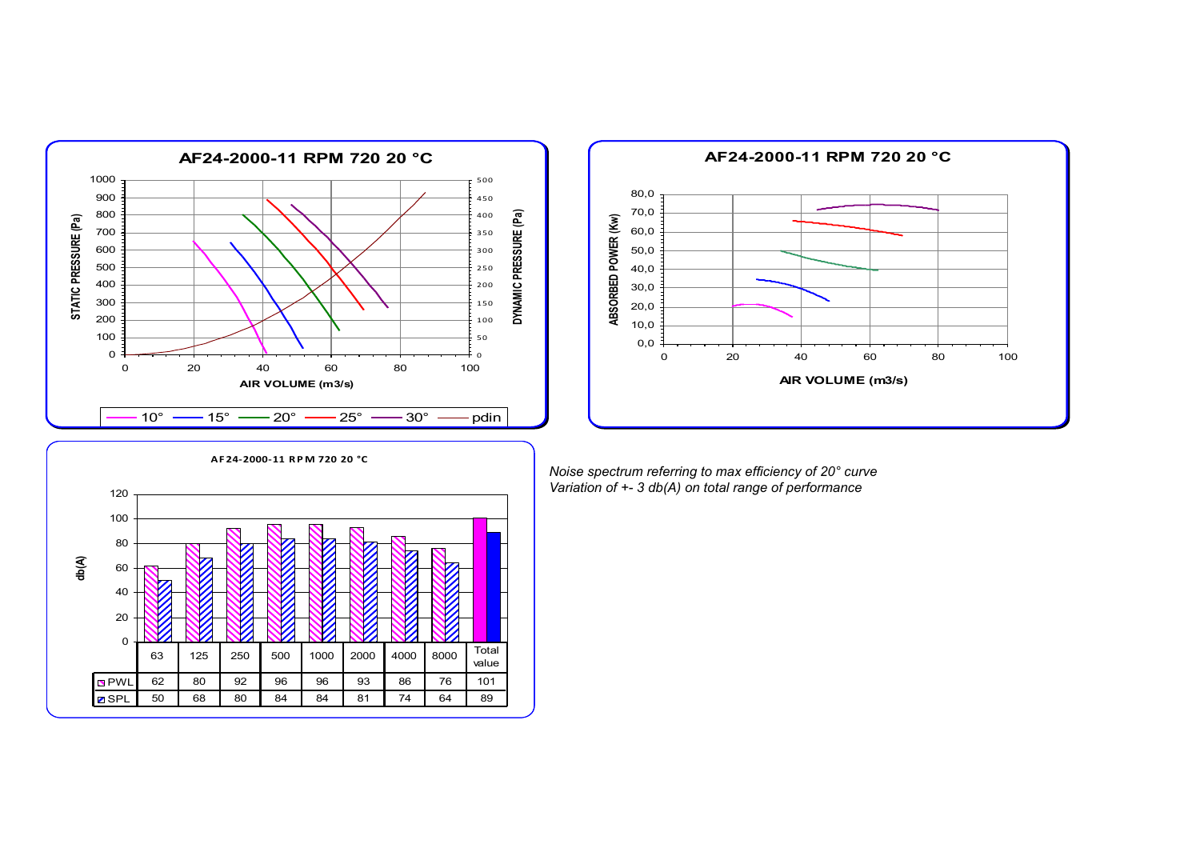